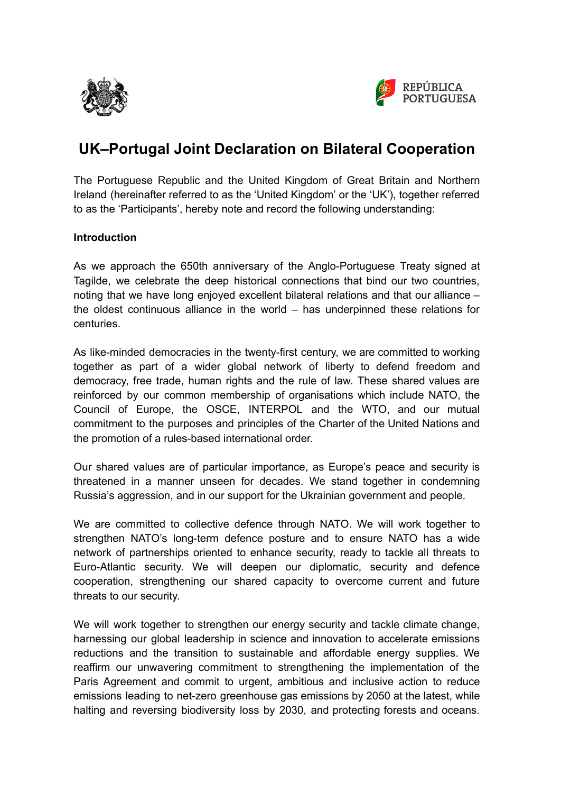



# **UK–Portugal Joint Declaration on Bilateral Cooperation**

The Portuguese Republic and the United Kingdom of Great Britain and Northern Ireland (hereinafter referred to as the 'United Kingdom' or the 'UK'), together referred to as the 'Participants', hereby note and record the following understanding:

# **Introduction**

As we approach the 650th anniversary of the Anglo-Portuguese Treaty signed at Tagilde, we celebrate the deep historical connections that bind our two countries, noting that we have long enjoyed excellent bilateral relations and that our alliance – the oldest continuous alliance in the world – has underpinned these relations for centuries.

As like-minded democracies in the twenty-first century, we are committed to working together as part of a wider global network of liberty to defend freedom and democracy, free trade, human rights and the rule of law. These shared values are reinforced by our common membership of organisations which include NATO, the Council of Europe, the OSCE, INTERPOL and the WTO, and our mutual commitment to the purposes and principles of the Charter of the United Nations and the promotion of a rules-based international order.

Our shared values are of particular importance, as Europe's peace and security is threatened in a manner unseen for decades. We stand together in condemning Russia's aggression, and in our support for the Ukrainian government and people.

We are committed to collective defence through NATO. We will work together to strengthen NATO's long-term defence posture and to ensure NATO has a wide network of partnerships oriented to enhance security, ready to tackle all threats to Euro-Atlantic security. We will deepen our diplomatic, security and defence cooperation, strengthening our shared capacity to overcome current and future threats to our security.

We will work together to strengthen our energy security and tackle climate change, harnessing our global leadership in science and innovation to accelerate emissions reductions and the transition to sustainable and affordable energy supplies. We reaffirm our unwavering commitment to strengthening the implementation of the Paris Agreement and commit to urgent, ambitious and inclusive action to reduce emissions leading to net-zero greenhouse gas emissions by 2050 at the latest, while halting and reversing biodiversity loss by 2030, and protecting forests and oceans.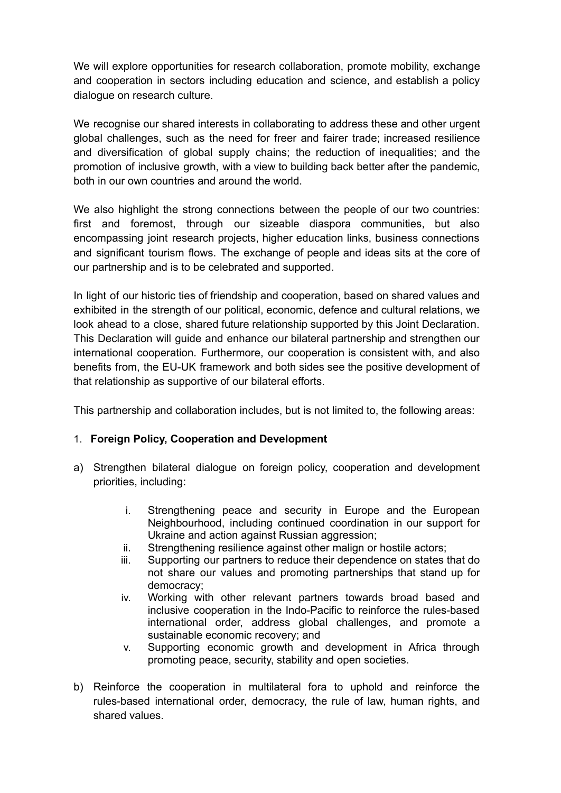We will explore opportunities for research collaboration, promote mobility, exchange and cooperation in sectors including education and science, and establish a policy dialogue on research culture.

We recognise our shared interests in collaborating to address these and other urgent global challenges, such as the need for freer and fairer trade; increased resilience and diversification of global supply chains; the reduction of inequalities; and the promotion of inclusive growth, with a view to building back better after the pandemic, both in our own countries and around the world.

We also highlight the strong connections between the people of our two countries: first and foremost, through our sizeable diaspora communities, but also encompassing joint research projects, higher education links, business connections and significant tourism flows. The exchange of people and ideas sits at the core of our partnership and is to be celebrated and supported.

In light of our historic ties of friendship and cooperation, based on shared values and exhibited in the strength of our political, economic, defence and cultural relations, we look ahead to a close, shared future relationship supported by this Joint Declaration. This Declaration will guide and enhance our bilateral partnership and strengthen our international cooperation. Furthermore, our cooperation is consistent with, and also benefits from, the EU-UK framework and both sides see the positive development of that relationship as supportive of our bilateral efforts.

This partnership and collaboration includes, but is not limited to, the following areas:

# 1. **Foreign Policy, Cooperation and Development**

- a) Strengthen bilateral dialogue on foreign policy, cooperation and development priorities, including:
	- i. Strengthening peace and security in Europe and the European Neighbourhood, including continued coordination in our support for Ukraine and action against Russian aggression;
	- ii. Strengthening resilience against other malign or hostile actors;
	- iii. Supporting our partners to reduce their dependence on states that do not share our values and promoting partnerships that stand up for democracy;
	- iv. Working with other relevant partners towards broad based and inclusive cooperation in the Indo-Pacific to reinforce the rules-based international order, address global challenges, and promote a sustainable economic recovery; and
	- v. Supporting economic growth and development in Africa through promoting peace, security, stability and open societies.
- b) Reinforce the cooperation in multilateral fora to uphold and reinforce the rules-based international order, democracy, the rule of law, human rights, and shared values.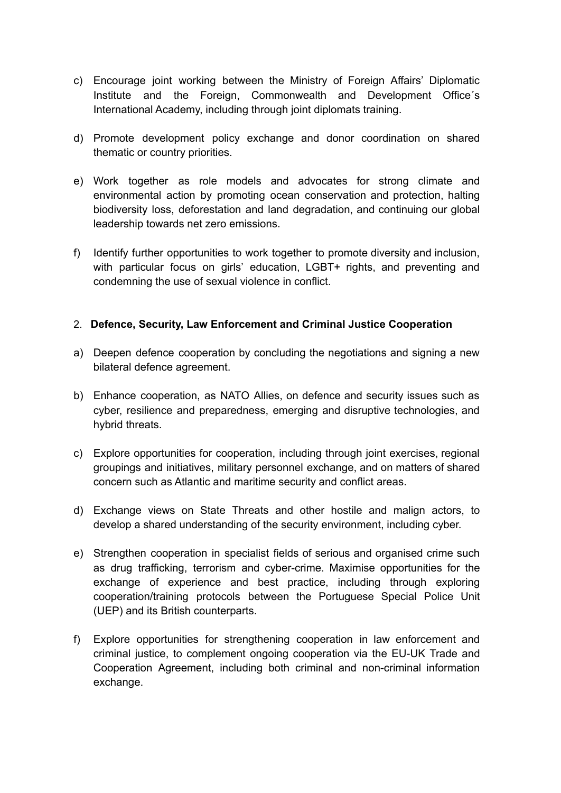- c) Encourage joint working between the Ministry of Foreign Affairs' Diplomatic Institute and the Foreign, Commonwealth and Development Office´s International Academy, including through joint diplomats training.
- d) Promote development policy exchange and donor coordination on shared thematic or country priorities.
- e) Work together as role models and advocates for strong climate and environmental action by promoting ocean conservation and protection, halting biodiversity loss, deforestation and land degradation, and continuing our global leadership towards net zero emissions.
- f) Identify further opportunities to work together to promote diversity and inclusion, with particular focus on girls' education, LGBT+ rights, and preventing and condemning the use of sexual violence in conflict.

# 2. **Defence, Security, Law Enforcement and Criminal Justice Cooperation**

- a) Deepen defence cooperation by concluding the negotiations and signing a new bilateral defence agreement.
- b) Enhance cooperation, as NATO Allies, on defence and security issues such as cyber, resilience and preparedness, emerging and disruptive technologies, and hybrid threats.
- c) Explore opportunities for cooperation, including through joint exercises, regional groupings and initiatives, military personnel exchange, and on matters of shared concern such as Atlantic and maritime security and conflict areas.
- d) Exchange views on State Threats and other hostile and malign actors, to develop a shared understanding of the security environment, including cyber.
- e) Strengthen cooperation in specialist fields of serious and organised crime such as drug trafficking, terrorism and cyber-crime. Maximise opportunities for the exchange of experience and best practice, including through exploring cooperation/training protocols between the Portuguese Special Police Unit (UEP) and its British counterparts.
- f) Explore opportunities for strengthening cooperation in law enforcement and criminal justice, to complement ongoing cooperation via the EU-UK Trade and Cooperation Agreement, including both criminal and non-criminal information exchange.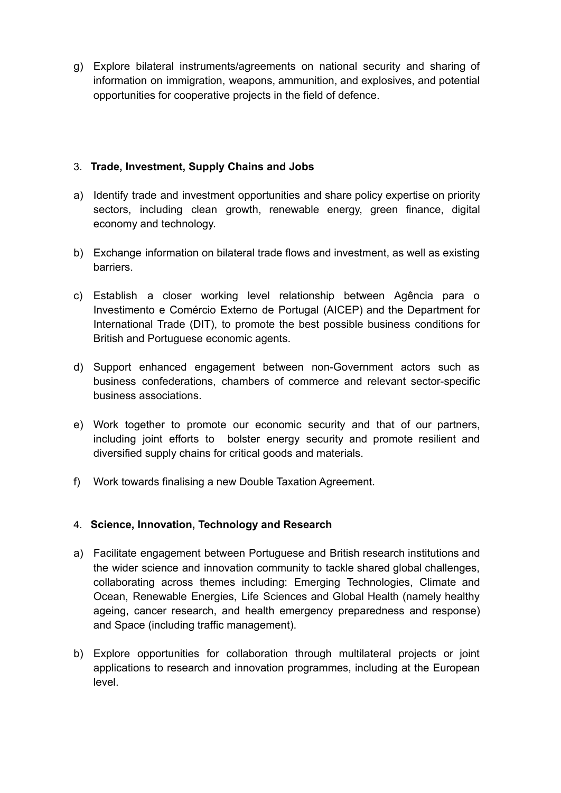g) Explore bilateral instruments/agreements on national security and sharing of information on immigration, weapons, ammunition, and explosives, and potential opportunities for cooperative projects in the field of defence.

# 3. **Trade, Investment, Supply Chains and Jobs**

- a) Identify trade and investment opportunities and share policy expertise on priority sectors, including clean growth, renewable energy, green finance, digital economy and technology.
- b) Exchange information on bilateral trade flows and investment, as well as existing barriers.
- c) Establish a closer working level relationship between Agência para o Investimento e Comércio Externo de Portugal (AICEP) and the Department for International Trade (DIT), to promote the best possible business conditions for British and Portuguese economic agents.
- d) Support enhanced engagement between non-Government actors such as business confederations, chambers of commerce and relevant sector-specific business associations.
- e) Work together to promote our economic security and that of our partners, including joint efforts to bolster energy security and promote resilient and diversified supply chains for critical goods and materials.
- f) Work towards finalising a new Double Taxation Agreement.

# 4. **Science, Innovation, Technology and Research**

- a) Facilitate engagement between Portuguese and British research institutions and the wider science and innovation community to tackle shared global challenges, collaborating across themes including: Emerging Technologies, Climate and Ocean, Renewable Energies, Life Sciences and Global Health (namely healthy ageing, cancer research, and health emergency preparedness and response) and Space (including traffic management).
- b) Explore opportunities for collaboration through multilateral projects or joint applications to research and innovation programmes, including at the European level.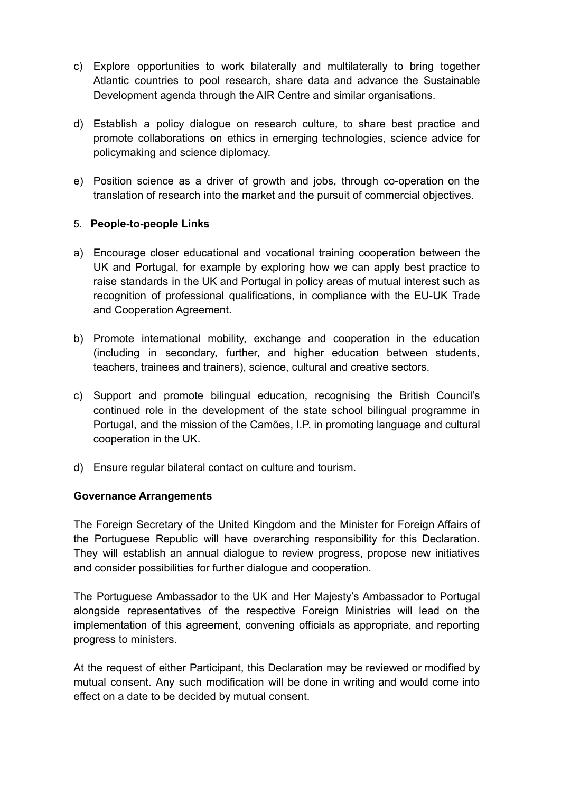- c) Explore opportunities to work bilaterally and multilaterally to bring together Atlantic countries to pool research, share data and advance the Sustainable Development agenda through the AIR Centre and similar organisations.
- d) Establish a policy dialogue on research culture, to share best practice and promote collaborations on ethics in emerging technologies, science advice for policymaking and science diplomacy.
- e) Position science as a driver of growth and jobs, through co-operation on the translation of research into the market and the pursuit of commercial objectives.

# 5. **People-to-people Links**

- a) Encourage closer educational and vocational training cooperation between the UK and Portugal, for example by exploring how we can apply best practice to raise standards in the UK and Portugal in policy areas of mutual interest such as recognition of professional qualifications, in compliance with the EU-UK Trade and Cooperation Agreement.
- b) Promote international mobility, exchange and cooperation in the education (including in secondary, further, and higher education between students, teachers, trainees and trainers), science, cultural and creative sectors.
- c) Support and promote bilingual education, recognising the British Council's continued role in the development of the state school bilingual programme in Portugal, and the mission of the Camões, I.P. in promoting language and cultural cooperation in the UK.
- d) Ensure regular bilateral contact on culture and tourism.

# **Governance Arrangements**

The Foreign Secretary of the United Kingdom and the Minister for Foreign Affairs of the Portuguese Republic will have overarching responsibility for this Declaration. They will establish an annual dialogue to review progress, propose new initiatives and consider possibilities for further dialogue and cooperation.

The Portuguese Ambassador to the UK and Her Majesty's Ambassador to Portugal alongside representatives of the respective Foreign Ministries will lead on the implementation of this agreement, convening officials as appropriate, and reporting progress to ministers.

At the request of either Participant, this Declaration may be reviewed or modified by mutual consent. Any such modification will be done in writing and would come into effect on a date to be decided by mutual consent.